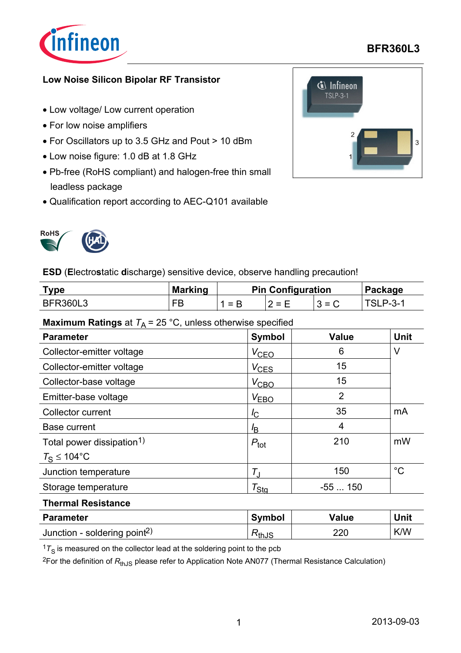

## **BFR360L3**

#### **Low Noise Silicon Bipolar RF Transistor**

- Low voltage/ Low current operation
- For low noise amplifiers
- For Oscillators up to 3.5 GHz and Pout > 10 dBm
- Low noise figure: 1.0 dB at 1.8 GHz
- Pb-free (RoHS compliant) and halogen-free thin small leadless package
- Qualification report according to AEC-Q101 available





**ESD** (**E**lectro**s**tatic **d**ischarge) sensitive device, observe handling precaution!

| vpe             | <b>Marking</b> | <b>Pin Configuration</b> |            |     | Package |  |
|-----------------|----------------|--------------------------|------------|-----|---------|--|
| <b>BFR360L3</b> | ᄃ              | 1 = R                    | $=$ F<br>- | - - | P--3-1- |  |

#### **Maximum Ratings** at  $T_A = 25$  °C, unless otherwise specified

| <b>Parameter</b>                      | <b>Symbol</b>       | <b>Value</b>   | <b>Unit</b> |
|---------------------------------------|---------------------|----------------|-------------|
| Collector-emitter voltage             | $V_{\text{CEO}}$    | 6              | V           |
| Collector-emitter voltage             | $V_{CES}$           | 15             |             |
| Collector-base voltage                | $V_{\text{CBO}}$    | 15             |             |
| Emitter-base voltage                  | V <sub>EBO</sub>    | $\overline{2}$ |             |
| <b>Collector current</b>              | $I_{\rm C}$         | 35             | mA          |
| <b>Base current</b>                   | $l_{\mathsf{B}}$    | 4              |             |
| Total power dissipation <sup>1)</sup> | $P_{\text{tot}}$    | 210            | mW          |
| $T_{\rm S} \leq 104$ °C               |                     |                |             |
| Junction temperature                  | $T_{\rm J}$         | 150            | $^{\circ}C$ |
| Storage temperature                   | $\tau_{\text{Stq}}$ | $-55150$       |             |
| <b>Thermal Resistance</b>             |                     |                |             |

| <b>Parameter</b>                         | <b>Symbol</b> | Value | Unit       |
|------------------------------------------|---------------|-------|------------|
| Junction - soldering point <sup>2)</sup> | ™thJS         | 220   | <b>K/W</b> |

 $17<sub>S</sub>$  is measured on the collector lead at the soldering point to the pcb

<sup>2</sup>For the definition of R<sub>thJS</sub> please refer to Application Note AN077 (Thermal Resistance Calculation)

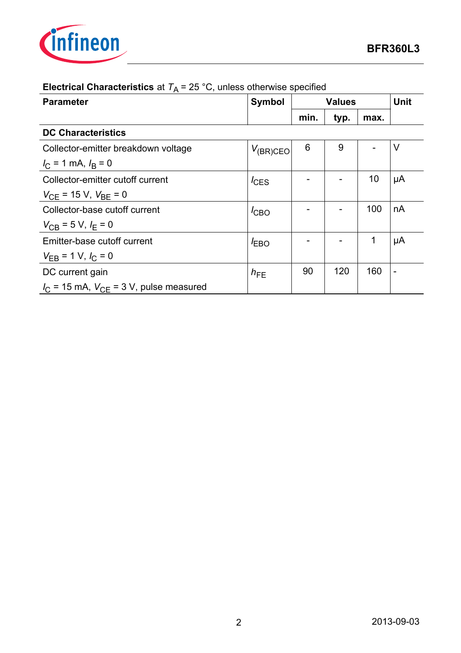

| <b>Parameter</b>                                        | <b>Symbol</b>    | <b>Values</b> |      | <b>Unit</b> |                |
|---------------------------------------------------------|------------------|---------------|------|-------------|----------------|
|                                                         |                  | min.          | typ. | max.        |                |
| <b>DC Characteristics</b>                               |                  |               |      |             |                |
| Collector-emitter breakdown voltage                     | $V_{(BR)CEO}$    | 6             | 9    |             | $\vee$         |
| $I_{\rm C}$ = 1 mA, $I_{\rm B}$ = 0                     |                  |               |      |             |                |
| Collector-emitter cutoff current                        | $I_{\text{CES}}$ |               |      | 10          | μA             |
| $V_{\text{CE}}$ = 15 V, $V_{\text{BE}}$ = 0             |                  |               |      |             |                |
| Collector-base cutoff current                           | $I_{\text{CBO}}$ |               |      | 100         | nA             |
| $V_{\text{CB}}$ = 5 V, $I_{\text{F}}$ = 0               |                  |               |      |             |                |
| Emitter-base cutoff current                             | $E_{\text{B}}$   |               |      | 1           | μA             |
| $V_{EB}$ = 1 V, $I_C$ = 0                               |                  |               |      |             |                |
| DC current gain                                         | $h_{FE}$         | 90            | 120  | 160         | $\blacksquare$ |
| $I_{\rm C}$ = 15 mA, $V_{\rm CF}$ = 3 V, pulse measured |                  |               |      |             |                |

# **Electrical Characteristics** at  $T_A = 25 \degree C$ , unless otherwise specified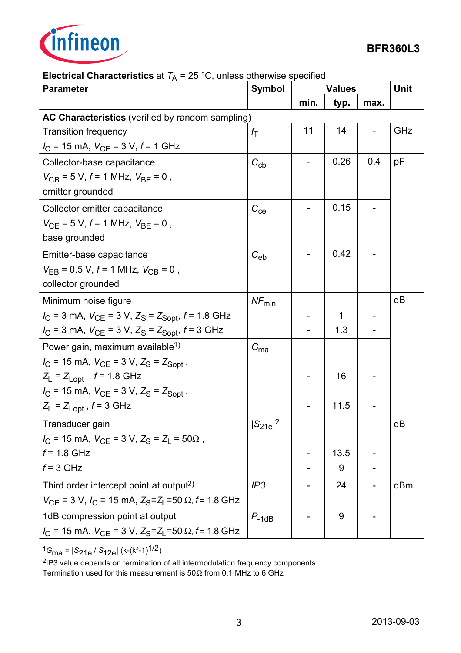

| <b>Parameter</b>                                                                              | <b>Symbol</b>                           | <b>Values</b> |      | <b>Unit</b> |     |
|-----------------------------------------------------------------------------------------------|-----------------------------------------|---------------|------|-------------|-----|
|                                                                                               |                                         | min.          | typ. | max.        |     |
| AC Characteristics (verified by random sampling)                                              |                                         |               |      |             |     |
| <b>Transition frequency</b>                                                                   | $f_{\rm T}$                             | 11            | 14   |             | GHz |
| $I_{\rm C}$ = 15 mA, $V_{\rm CE}$ = 3 V, $f$ = 1 GHz                                          |                                         |               |      |             |     |
| Collector-base capacitance                                                                    | $C_{\rm cb}$                            |               | 0.26 | 0.4         | pF  |
| $V_{\text{CB}}$ = 5 V, f = 1 MHz, $V_{\text{BE}}$ = 0,                                        |                                         |               |      |             |     |
| emitter grounded                                                                              |                                         |               |      |             |     |
| Collector emitter capacitance                                                                 | $C_{\rm ce}$                            |               | 0.15 |             |     |
| $V_{\text{CE}}$ = 5 V, f = 1 MHz, $V_{\text{BE}}$ = 0,                                        |                                         |               |      |             |     |
| base grounded                                                                                 |                                         |               |      |             |     |
| Emitter-base capacitance                                                                      | $C_{\rm eb}$                            |               | 0.42 |             |     |
| $V_{\text{EB}}$ = 0.5 V, $f$ = 1 MHz, $V_{\text{CB}}$ = 0,                                    |                                         |               |      |             |     |
| collector grounded                                                                            |                                         |               |      |             |     |
| Minimum noise figure                                                                          | $\ensuremath{\mathit{NF}_{\text{min}}}$ |               |      |             | dB  |
| $I_{C}$ = 3 mA, $V_{CE}$ = 3 V, $Z_{S}$ = $Z_{Sopt}$ , $f$ = 1.8 GHz                          |                                         |               | 1    |             |     |
| $I_{\rm C}$ = 3 mA, $V_{\rm CE}$ = 3 V, $Z_{\rm S}$ = $Z_{\rm Sopt}$ , f = 3 GHz              |                                         |               | 1.3  |             |     |
| Power gain, maximum available <sup>1)</sup>                                                   | $G_\mathrm{ma}$                         |               |      |             |     |
| $I_C$ = 15 mA, $V_{CE}$ = 3 V, $Z_S$ = $Z_{Sopt}$ ,                                           |                                         |               |      |             |     |
| $Z_L$ = $Z_{Lopt}$ , $f = 1.8$ GHz                                                            |                                         |               | 16   |             |     |
| $I_{\rm C}$ = 15 mA, $V_{\rm CE}$ = 3 V, $Z_{\rm S}$ = $Z_{\rm Sopt}$ ,                       |                                         |               |      |             |     |
| $Z_L$ = $Z_{Lopt}$ , $f = 3$ GHz                                                              |                                         |               | 11.5 |             |     |
| Transducer gain                                                                               | $ S_{21e} ^2$                           |               |      |             | dB  |
| $I_{\rm C}$ = 15 mA, $V_{\rm CE}$ = 3 V, $Z_{\rm S}$ = $Z_{\rm L}$ = 50 $\Omega$ ,            |                                         |               |      |             |     |
| $f = 1.8$ GHz                                                                                 |                                         |               | 13.5 |             |     |
| $f = 3$ GHz                                                                                   |                                         |               | 9    |             |     |
| Third order intercept point at output <sup>2)</sup>                                           | IP3                                     |               | 24   |             | dBm |
| $V_{CE}$ = 3 V, $I_C$ = 15 mA, $Z_S$ = $Z_L$ =50 $\Omega$ , $f$ = 1.8 GHz                     |                                         |               |      |             |     |
| 1dB compression point at output                                                               | $P_{-1dB}$                              |               | 9    |             |     |
| $I_{\rm C}$ = 15 mA, $V_{\rm CE}$ = 3 V, $Z_{\rm S}$ = $Z_{\rm L}$ =50 $\Omega$ , f = 1.8 GHz |                                         |               |      |             |     |

# **Electrical Characteristics** at  $T_A = 25 \degree C$ , unless otherwise specified

<sup>1</sup>*G*ma = |*S*21e / *S*12e| (k-(k²-1)1/2)

2IP3 value depends on termination of all intermodulation frequency components.

Termination used for this measurement is  $50\Omega$  from 0.1 MHz to 6 GHz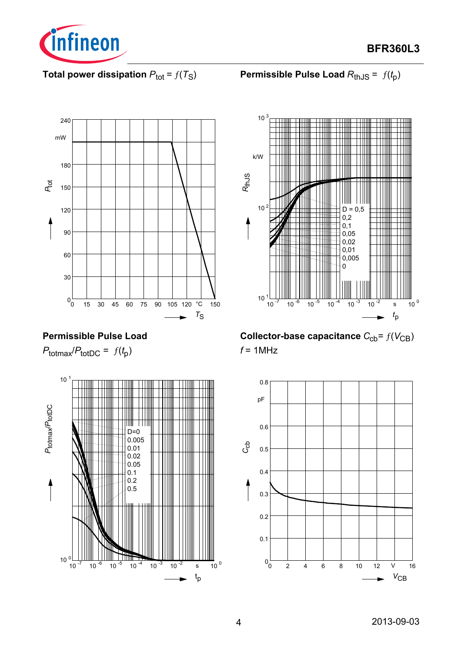

**BFR360L3**

**Total power dissipation**  $P_{\text{tot}} = f(T_S)$ 

**Permissible Pulse Load**  $R_{th,JS} = f(t_p)$ 



# **Permissible Pulse Load**

 $P_{\text{totmax}}/P_{\text{totDC}} = f(t_p)$ 





**Collector-base capacitance**  $C_{cb} = f(V_{CB})$ *f* = 1MHz

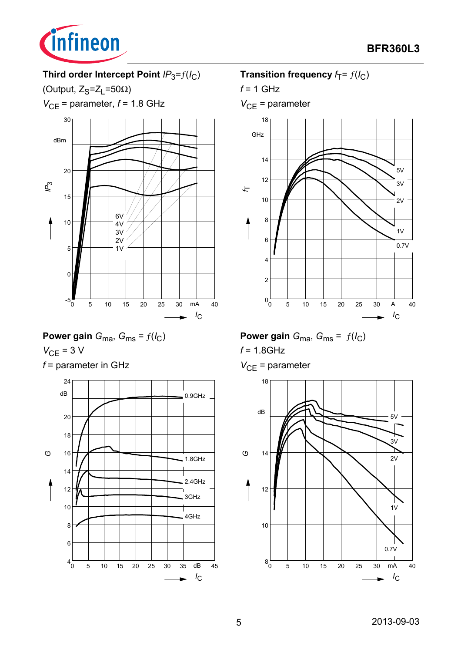

# Third order Intercept Point  $IP_3=f(I_C)$

(Output,  $Z_S = Z_L = 50\Omega$ )

 $V_{CE}$  = parameter,  $f$  = 1.8 GHz



Power gain 
$$
G_{\text{ma}}
$$
,  $G_{\text{ms}} = f(l_C)$   
 $V_{\text{CE}} = 3 \text{ V}$ 

*f* = parameter in GHz



### **Transition frequency**  $f_T = f(I_C)$

*f* = 1 GHz

*V*<sub>CE</sub> = parameter



**Power gain**  $G_{\text{ma}}$ ,  $G_{\text{ms}} = f(I_C)$ *f* = 1.8GHz

*V*<sub>CE</sub> = parameter

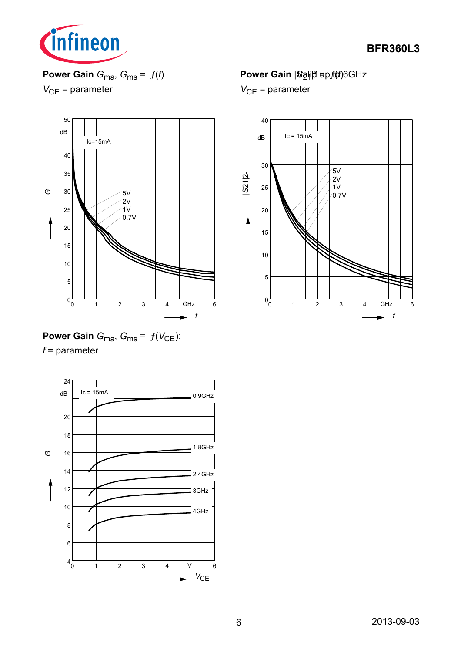

**Power Gain**  $G_{\text{ma}}$ ,  $G_{\text{ms}} = f(f)$ 





**Power Gain**  $G_{\text{ma}}$ ,  $G_{\text{ms}} = f(V_{\text{CE}})$ : *f* = parameter



# Power Gain |<sup>S</sup>aृli∣d ਥp*f*(of)6GHz



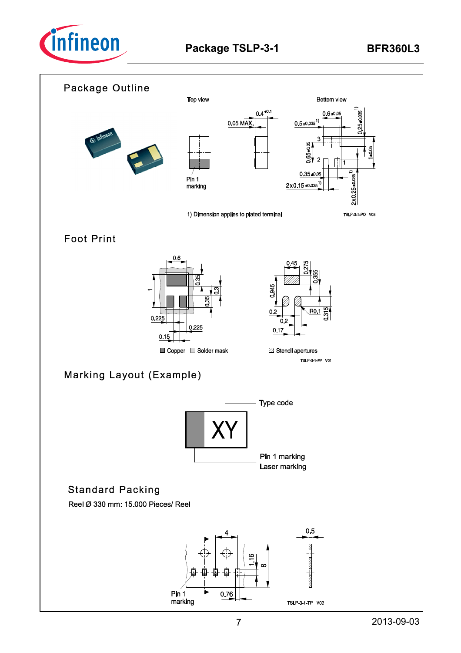